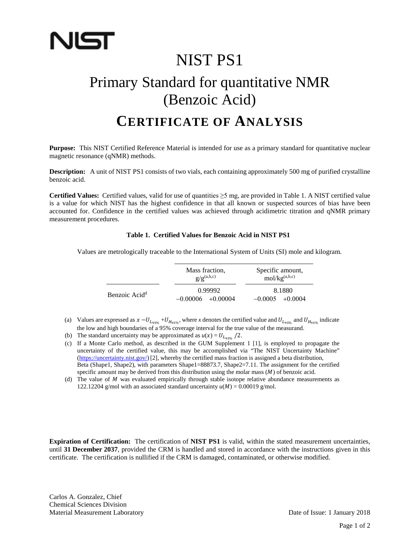

## NIST PS1

# Primary Standard for quantitative NMR (Benzoic Acid)

### **CERTIFICATE OF ANALYSIS**

**Purpose:** This NIST Certified Reference Material is intended for use as a primary standard for quantitative nuclear magnetic resonance (qNMR) methods.

**Description:** A unit of NIST PS1 consists of two vials, each containing approximately 500 mg of purified crystalline benzoic acid.

**Certified Values:** Certified values, valid for use of quantities ≥5 mg, are provided in Table 1. A NIST certified value is a value for which NIST has the highest confidence in that all known or suspected sources of bias have been accounted for. Confidence in the certified values was achieved through acidimetric titration and qNMR primary measurement procedures.

#### **Table 1. Certified Values for Benzoic Acid in NIST PS1**

Values are metrologically traceable to the International System of Units (SI) mole and kilogram.

|                           | Mass fraction,<br>$g/g^{(a,b,c)}$ | Specific amount,<br>mol/kg <sup>(a,b,c)</sup> |
|---------------------------|-----------------------------------|-----------------------------------------------|
| Benzoic Acid <sup>d</sup> | 0.99992<br>$-0.00006 + 0.00004$   | 8.1880<br>$-0.0005 + 0.0004$                  |

(a) Values are expressed as  $x - U_{L_{95\%}} + U_{H_{95\%}}$ , where *x* denotes the certified value and  $U_{L_{95\%}}$  and  $U_{H_{95\%}}$  indicate the low and high boundaries of a 95% coverage interval for the true value of the measurand.

(b) The standard uncertainty may be approximated as  $u(x) = U_{L_{95\%}}$  /2.

(c) If a Monte Carlo method, as described in the GUM Supplement 1 [1], is employed to propagate the uncertainty of the certified value, this may be accomplished via "The NIST Uncertainty Machine" [\(https://uncertainty.nist.gov/\)](https://uncertainty.nist.gov/)[2], whereby the certified mass fraction is assigned a beta distribution, Beta (Shape1, Shape2), with parameters Shape1=88873.7, Shape2=7.11. The assignment for the certified specific amount may be derived from this distribution using the molar mass  $(M)$  of benzoic acid.

(d) The value of  $M$  was evaluated empirically through stable isotope relative abundance measurements as 122.12204 g/mol with an associated standard uncertainty  $u(M) = 0.00019$  g/mol.

**Expiration of Certification:** The certification of **NIST PS1** is valid, within the stated measurement uncertainties, until **31 December 2037**, provided the CRM is handled and stored in accordance with the instructions given in this certificate. The certification is nullified if the CRM is damaged, contaminated, or otherwise modified.